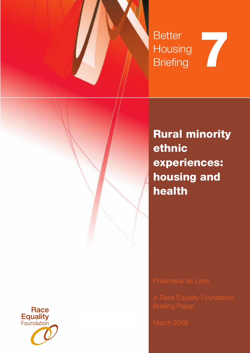

**Rural minority ethnic experiences: housing and health** 

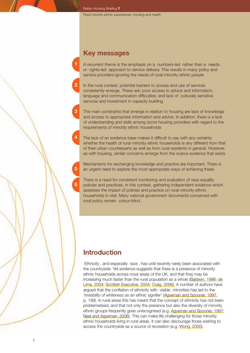# **Key messages**

A recurrent theme is the emphasis on a numbers-led rather than a needsor rights-led approach to service delivery. This results in many policy and service providers ignoring the needs of rural minority ethnic people

**2** In the rural context, potential barriers to access and use of services consistently emerge. These are: poor access to advice and information; language and communication difficulties; and lack of culturally sensitive services and investment in capacity building

The main constraints that emerge in relation to housing are lack of knowledge and access to appropriate information and advice. In addition, there is a lack of understanding and skills among some housing providers with regard to the requirements of minority ethnic households

The lack of an evidence base makes it difficult to say with any certainty whether the health of rural minority ethnic households is any different from that of their urban counterparts as well as from rural residents in general. However, as with housing, similar concerns emerge from the scarce evidence that exists

Mechanisms for exchanging knowledge and practice are important. There is an urgent need to explore the most appropriate ways of achieving these

There is a need for consistent monitoring and evaluation of race equality policies and practices. In this context, gathering independent evidence which assesses the impact of policies and practice on rural minority ethnic households is vital. Many national government documents concerned with rural policy remain colour-blind .

# **Introduction**

**6**

**5**

**4**

**3**

**1**

 Ethnicity , and especially race , has until recently rarely been associated with the countryside. Yet evidence suggests that there is a presence of minority ethnic households across most areas of the UK, and that they may be increasing much faster than the rural population as a whole (Baldwin, 1996; de Lima, 2004; Scottish Executive, 2004; Craig, 2006). A number of authors have argued that the conflation of ethnicity with visible minorities has led to the *'invisibility of whiteness as an ethnic signifier'* (Agyeman and Spooner, 1997, p. 199). In rural areas this has meant that the concept of ethnicity has not been problematised, and that not only the presence but also the diversity of minority ethnic groups frequently goes unrecognised (e.g. Agyeman and Spooner, 1997; Neal and Agyeman, 2006). This can make life challenging for those minority ethnic households living in rural areas. It can also discourage those wishing to access the countryside as a source of recreation (e.g. Wong, 2000).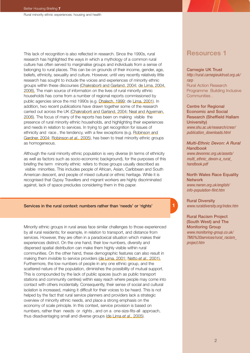Rural minority ethnic experiences: housing and health

This lack of recognition is also reflected in research. Since the 1990s, rural research has highlighted the ways in which a mythology of a common rural culture has often served to marginalise groups and individuals from a sense of belonging to rural places. This can be on grounds of their income, gender, age, beliefs, ethnicity, sexuality and culture. However, until very recently relatively little research has sought to include the voices and experiences of minority ethnic groups within these discourses (Chakraborti and Garland, 2004; de Lima, 2004, 2006). The main source of information on the lives of rural minority ethnic households has come from a number of regional reports commissioned by public agencies since the mid 1990s (e.g. Dhalech, 1999; de Lima, 2001). In addition, two recent publications have drawn together some of the research carried out across the UK (Chakraborti and Garland, 2004; Neal and Agyeman, 2006). The focus of many of the reports has been on making visible the presence of rural minority ethnic households, and highlighting their experiences and needs in relation to services. In trying to get recognition for issues of ethnicity and race , the tendency, with a few exceptions (e.g. Robinson and Gardner, 2004; Robinson *et al*., 2005), has been to treat minority ethnic groups as homogeneous.

Although the rural minority ethnic population is very diverse (in terms of ethnicity as well as factors such as socio-economic background), for the purposes of this briefing the term minority ethnic refers to those groups usually described as visible minorities. This includes people of African, Asian, Caribbean and South American descent, and people of mixed cultural or ethnic heritage. While it is recognised that Gypsy Travellers and migrant workers are highly discriminated against, lack of space precludes considering them in this paper.

## Services in the rural context: numbers rather than 'needs' or 'rights'

Minority ethnic groups in rural areas face similar challenges to those experienced by all rural residents; for example, in relation to transport, and distance from services. However, they are often in a paradoxical situation which makes their experiences distinct. On the one hand, their low numbers, diversity and dispersed spatial distribution can make them highly visible within rural communities. On the other hand, these demographic features can also result in making them *in*visible to service providers (de Lima, 2001; Netto *et al*., 2001). Furthermore, the low numbers of people in any one ethnic group, and the scattered nature of the population, diminishes the possibility of mutual support. This is compounded by the lack of public spaces (such as public transport stations and community centres) within easy reach where people may come into contact with others incidentally. Consequently, their sense of social and cultural isolation is increased, making it difficult for their voices to be heard. This is not helped by the fact that rural service planners and providers lack a strategic overview of minority ethnic needs, and place a strong emphasis on the economy of scale principle. In this context, service provision is based on numbers, rather than needs or rights , and on a one-size-fits-all approach, thus disadvantaging small and diverse groups (de Lima *et al*., 2005).

# **Resources 1**

### Carnegie UK Trust

*[http://rural.carnegieuktrust.org.uk/](http://rural.carnegieuktrust.org.uk/rarp) rarp* Rural Action Research Programme Building Inclusive Communities .

Centre for Regional Economic and Social Research (Sheffield Hallam University) *[www.shu.ac.uk/research/cresr/](http://www.shu.ac.uk/research/cresr/publication_downloads.html) publication\_downloads.html*

## *Multi-Ethnic Devon: A Rural Handbook www.devonrec.org.uk/assets/ [multi\\_ethnic\\_devon-a\\_rural\\_](http://www.devonrec.org.uk/assets/multi_ethnic_devon-a_rural_handbook.pdf) handbook.pdf*

North Wales Race Equality **Network** *[www.nwren.org.uk/english/](http://www.nwren.org.uk/english/info-population-flint.htm) info-population-flint.htm*

Rural Diversity *www.ruraldiversity.org/index.htm*

**1**

Rural Racism Project (South West) and The Monitoring Group *www.monitoring-group.co.uk/ [TMG%20services/rural\\_racism\\_](http://www.monitoring-group.co.uk/TMG%20services/rural_racism_project.htm) project.htm*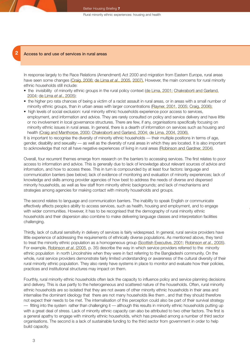### **2** Access to and use of services in rural areas

In response largely to the Race Relations (Amendment) Act 2000 and migration from Eastern Europe, rural areas have seen some changes (Craig, 2006; de Lima *et al*., 2005, 2007). However, the main concerns for rural minority ethnic households still include:

- the invisibility of minority ethnic groups in the rural policy context (de Lima, 2001; Chakraborti and Garland, 2004; de Lima *et al*., 2005);
- the higher pro rata chances of being a victim of a racist assault in rural areas, or in areas with a small number of minority ethnic groups, than in urban areas with larger concentrations (Bayner, 2001, 2005; Craig, 2006);
- high levels of social exclusion: rural minority ethnic households experience poor access to services, employment, and information and advice. They are rarely consulted on policy and service delivery and have little or no involvement in local governance structures. There are few, if any, organisations specifically focusing on minority ethnic issues in rural areas. In general, there is a dearth of information on services such as housing and health (Craig and Manthorpe, 2000; Chakraborti and Garland, 2004; de Lima, 2004, 2006).

It is important to recognise the diversity of minority ethnic households — their multiple positions in terms of age, gender, disability and sexuality — as well as the diversity of rural areas in which they are located. It is also important to acknowledge that not all have negative experiences of living in rural areas (Robinson and Gardner, 2004).

Overall, four recurrent themes emerge from research on the barriers to accessing services. The first relates to poor access to information and advice. This is generally due to lack of knowledge about relevant sources of advice and information, and how to access these. This in turn is compounded by at least four factors: language and communication barriers (see below); lack of evidence of monitoring and evaluation of minority experiences; lack of knowledge and skills among provider agencies of how best to address the needs of diverse and dispersed minority households, as well as few staff from minority ethnic backgrounds; and lack of mechanisms and strategies among agencies for making contact with minority households and groups.

The second relates to language and communication barriers. The inability to speak English or communicate effectively affects people s ability to access services, such as health, housing and employment, and to engage with wider communities. However, it has to be recognised that the demography of rural minority ethnic households and their dispersion also combine to make delivering language classes and interpretation facilities challenging.

Thirdly, lack of cultural sensitivity in delivery of services is fairly widespread. In general, rural service providers have little experience of addressing the requirements of ethnically diverse populations. As mentioned above, they tend to treat the minority ethnic population as a homogeneous group (Scottish Executive, 2001; Robinson *et al*., 2005). For example, Robinson *et al*. (2005, p. 35) describe the way in which service providers referred to the minority ethnic population in north Lincolnshire when they were in fact referring to the Bangladeshi community. On the whole, rural service providers demonstrate fairly limited understanding or awareness of the cultural diversity of their rural minority ethnic population. They also rarely have systems in place to monitor and evaluate how their policies, practices and institutional structures may impact on them.

Fourthly, rural minority ethnic households often lack the capacity to influence policy and service planning decisions and delivery. This is due partly to the heterogeneous and scattered nature of the households. Often, rural minority ethnic households are so isolated that they are not aware of other minority ethnic households in their area and internalise the dominant ideology that there are not many households like them , and that they should therefore not expect their needs to be met. The internalisation of this perception could also be part of their survival strategy — fitting into the system rather than challenging it — although this results in minority ethnic households putting up with a great deal of stress. Lack of minority ethnic capacity can also be attributed to two other factors. The first is a general apathy to engage with minority ethnic households, which has prevailed among a number of third sector organisations. The second is a lack of sustainable funding to the third sector from government in order to help build capacity.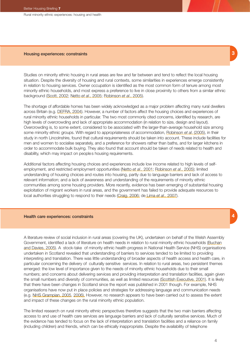Rural minority ethnic experiences: housing and health

#### Housing experiences: constraints

Studies on minority ethnic housing in rural areas are few and far between and tend to reflect the local housing situation. Despite the diversity of housing and rural contexts, some similarities in experiences emerge consistently in relation to housing services. Owner occupation is identified as the most common form of tenure among most minority ethnic households, and most express a preference to live in close proximity to others from a similar ethnic background (Scott, 2002; Netto *et al*., 2005; Robinson *et al*., 2005).

The shortage of affordable homes has been widely acknowledged as a major problem affecting many rural dwellers across Britain (e.g. DEFRA, 2004). However, a number of factors affect the housing choices and experiences of rural minority ethnic households in particular. The two most commonly cited concerns, identified by research, are high levels of overcrowding and lack of appropriate accommodation (in relation to size, design and layout). Overcrowding is, to some extent, considered to be associated with the larger-than-average household size among some minority ethnic groups. With regard to appropriateness of accommodation, Robinson *et al*. (2005), in their study in north Lincolnshire, found that cultural requirements should be taken into account. These include facilities for men and women to socialise separately, and a preference for showers rather than baths, and for larger kitchens in order to accommodate bulk buying. They also found that account should be taken of needs related to health and disability, which may impact on people s housing requirements.

Additional factors affecting housing choices and experiences include low income related to high levels of selfemployment, and restricted employment opportunities (Netto *et al*., 2001; Robinson *et al*., 2005); limited understanding of housing choices and routes into housing, partly due to language barriers and lack of access to relevant information; and a lack of awareness and understanding of the requirements of minority ethnic communities among some housing providers. More recently, evidence has been emerging of substantial housing exploitation of migrant workers in rural areas, and the government has failed to provide adequate resources to local authorities struggling to respond to their needs (Craig, 2006; de Lima *et al*., 2007).

### Health care experiences: constraints

A literature review of social inclusion in rural areas (covering the UK), undertaken on behalf of the Welsh Assembly Government, identified a lack of literature on health needs in relation to rural minority ethnic households (Buchan and Davies, 2005). A stock-take of minority ethnic health progress in National Health Service (NHS) organisations undertaken in Scotland revealed that understanding of barriers to services tended to be limited to providing interpreting and translation. There was little understanding of broader aspects of health access and health care, in particular concerning the delivery of culturally sensitive services. In relation to rural areas, two persistent themes emerged: the low level of importance given to the needs of minority ethnic households due to their small numbers; and concerns about delivering services and providing interpretation and translation facilities, again given the small numbers and diversity of communities, as well as limited resources (Scottish Executive, 2001). It is likely that there have been changes in Scotland since the report was published in 2001 though. For example, NHS organisations have now put in place policies and strategies for addressing language and communication needs (e.g. NHS Grampian, 2005, 2006). However, no research appears to have been carried out to assess the extent and impact of these changes on the rural minority ethnic population.

The limited research on rural minority ethnic perspectives therefore suggests that the two main barriers affecting access to and use of health care services are language barriers and lack of culturally sensitive services. Much of the evidence has tended to focus on the lack of interpretation and translation facilities and a reliance on family (including children) and friends, which can be ethically inappropriate. Despite the availability of telephone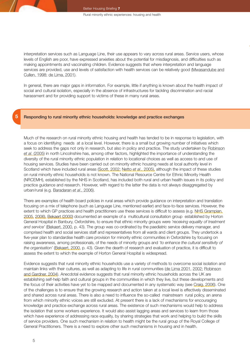interpretation services such as Language Line, their use appears to vary across rural areas. Service users, whose levels of English are poor, have expressed anxieties about the potential for misdiagnosis, and difficulties such as making appointments and vaccinating children. Evidence suggests that where interpretation and language services are provided, use and levels of satisfaction with health services can be relatively good (Mwasandube and Cullen, 1998; de Lima, 2001).

In general, there are major gaps in information. For example, little if anything is known about the health impact of social and cultural isolation, especially in the absence of infrastructures for tackling discrimination and racial harassment and for providing support to victims of these in many rural areas.

## Responding to rural minority ethnic households: knowledge and practice exchanges

Much of the research on rural minority ethnic housing and health has tended to be in response to legislation, with a focus on identifying needs at a local level. However, there is a small but growing number of initiatives which seek to address the gaps not only in research, but also in policy and practice. The study undertaken by Robinson *et al*. (2005) in north Lincolnshire has, among other factors, highlighted the importance of understanding the diversity of the rural minority ethnic population in relation to locational choices as well as access to and use of housing services. Studies have been carried out on minority ethnic housing needs at local authority level in Scotland which have included rural areas (Scott, 2002; Netto *et al*., 2005), although the impact of these studies on rural minority ethnic households is not known. The National Resource Centre for Ethnic Minority Health (NRCEMH), established by the NHS in Scotland, has included both rural and urban health issues in its policy and practice guidance and research. However, with regard to the latter the data is not always disaggregated by urban/rural (e.g. Baradaran *et al*., 2006).

There are examples of health board policies in rural areas which provide guidance on interpretation and translation focusing on a mix of telephone (such as Language Line, mentioned earlier) and face-to-face services. However, the extent to which GP practices and health practitioners use these services is difficult to assess (e.g. NHS Grampian, 2005, 2006). Bekaert (2000) documented an example of a multicultural consultation group established by Horton General Hospital in Banbury, Oxfordshire, to ensure that ethnic minority groups were *'receiving equality of treatment and service'* (Bekaert, 2000, p. 43). The group was co-ordinated by the paediatric service delivery manager, and comprised health and social services staff and representatives from all wards and client groups. They undertook a five-year plan to standardise health care provision for minority ethnic communities in Oxfordshire by focusing on raising awareness, among professionals, of the needs of minority groups and *'to enhance the cultural sensitivity of the organisation'* (Bekaert, 2000, p. 43). Given the dearth of research and evaluation of practice, it is difficult to assess the extent to which the example of Horton General Hospital is widespread.

Evidence suggests that rural minority ethnic households use a variety of methods to overcome social isolation and maintain links with their cultures, as well as adapting to life in rural communities (de Lima 2001, 2002; Robinson and Gardner, 2004). Anecdotal evidence suggests that rural minority ethnic households across the UK are establishing self-help faith and cultural groups in the communities in which they live, but these developments and the focus of their activities have yet to be mapped and documented in any systematic way (see Craig, 2006). One of the challenges is to ensure that the growing research and action taken at a local level is effectively disseminated and shared across rural areas. There is also a need to influence the so-called mainstream rural policy, an arena from which minority ethnic voices are still excluded. At present there is a lack of mechanisms for encouraging knowledge and practice exchange across rural areas. The existence of such mechanisms would help to address the isolation that some workers experience. It would also assist lagging areas and services to learn from those which have experience of addressing race equality, by sharing strategies that work and helping to build the skills of service providers. One such mechanism in relation to health might be the rural group of the Royal College of General Practitioners. There is a need to explore other such mechanisms in housing and in health.

**5**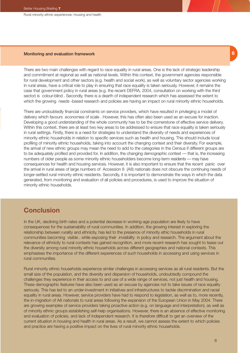Rural minority ethnic experiences: housing and health

### Monitoring and evaluation framework

There are two main challenges with regard to race equality in rural areas. One is the lack of strategic leadership and commitment at regional as well as national levels. Within this context, the government agencies responsible for rural development and other sectors (e.g. health and social work), as well as voluntary sector agencies working in rural areas, have a critical role to play in ensuring that race equality is taken seriously. However, it remains the case that government policy in rural areas (e.g. the recent DEFRA, 2004, consultation on working with the third sector) is colour-blind . Secondly, there is a dearth of independent research which has assessed the extent to which the growing needs -based research and policies are having an impact on rural minority ethnic households.

There are undoubtedly financial constraints on service providers, which have resulted in privileging a model of delivery which favours economies of scale . However, this has often also been used as an excuse for inaction. Developing a good understanding of the whole community has to be the cornerstone of effective service delivery. Within this context, there are at least two key areas to be addressed to ensure that race equality is taken seriously in rural settings. Firstly, there is a need for strategies to understand the diversity of needs and experiences of minority ethnic households in relation to specific services such as health and housing. This should include local profiling of minority ethnic households, taking into account the changing context and their diversity. For example, the arrival of new ethnic groups may mean the need to add to the categories in the Census if different groups are to be adequately profiled and provided for. In addition, the changing demographic context — that is, the increasing numbers of older people as some minority ethnic householders become long-term residents — may have consequences for health and housing services. However, it is also important to ensure that the recent panic over the arrival in rural areas of large numbers of Accession 8 (A8) nationals does not obscure the continuing needs of longer-settled rural minority ethnic residents. Secondly, it is important to demonstrate the ways in which the data generated, from monitoring and evaluation of all policies and procedures, is used to improve the situation of minority ethnic households.

## **Conclusion**

In the UK, declining birth rates and a potential decrease in working-age population are likely to have consequences for the sustainability of rural communities. In addition, the growing interest in exploring the relationship between rurality and ethnicity, has led to the presence of minority ethic households in rural communities becoming visible , while exposing their *in*visibility in policy and research. The argument about the relevance of ethnicity to rural contexts has gained recognition, and more recent research has sought to tease out the diversity among rural minority ethnic households across different geographies and national contexts. This emphasises the importance of the different experiences of such households in accessing and using services in rural communities.

Rural minority ethnic households experience similar challenges in accessing services as all rural residents. But the small size of the population, and the diversity and dispersion of households, undoubtedly compound the challenges they experience in their access to and use of a wide range of services, not just health and housing. These demographic features have also been used as an excuse by agencies not to take issues of race equality seriously. This has led to an under-investment in initiatives and infrastructures to tackle discrimination and racial equality in rural areas. However, service providers have had to respond to legislation, as well as to, more recently, the in-migration of A8 nationals to rural areas following the expansion of the European Union in May 2004. There are growing examples of service providers taking proactive action (e.g. on language and interpretation), as well as of minority ethnic groups establishing self-help organisations. However, there is an absence of effective monitoring and evaluation of policies, and lack of independent research. It is therefore difficult to get an overview of the current situation in housing and health in rural areas. As a result, we cannot assess the extent to which policies and practice are having a positive impact on the lives of rural minority ethnic households.

**6**